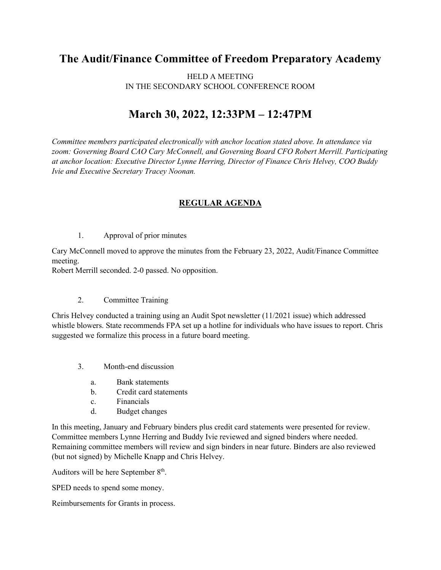## **The Audit/Finance Committee of Freedom Preparatory Academy**

HELD A MEETING IN THE SECONDARY SCHOOL CONFERENCE ROOM

## **March 30, 2022, 12:33PM – 12:47PM**

*Committee members participated electronically with anchor location stated above. In attendance via zoom: Governing Board CAO Cary McConnell, and Governing Board CFO Robert Merrill. Participating at anchor location: Executive Director Lynne Herring, Director of Finance Chris Helvey, COO Buddy Ivie and Executive Secretary Tracey Noonan.*

## **REGULAR AGENDA**

1. Approval of prior minutes

Cary McConnell moved to approve the minutes from the February 23, 2022, Audit/Finance Committee meeting.

Robert Merrill seconded. 2-0 passed. No opposition.

## 2. Committee Training

Chris Helvey conducted a training using an Audit Spot newsletter (11/2021 issue) which addressed whistle blowers. State recommends FPA set up a hotline for individuals who have issues to report. Chris suggested we formalize this process in a future board meeting.

- 3. Month-end discussion
	- a. Bank statements
	- b. Credit card statements
	- c. Financials
	- d. Budget changes

In this meeting, January and February binders plus credit card statements were presented for review. Committee members Lynne Herring and Buddy Ivie reviewed and signed binders where needed. Remaining committee members will review and sign binders in near future. Binders are also reviewed (but not signed) by Michelle Knapp and Chris Helvey.

Auditors will be here September  $8<sup>th</sup>$ .

SPED needs to spend some money.

Reimbursements for Grants in process.